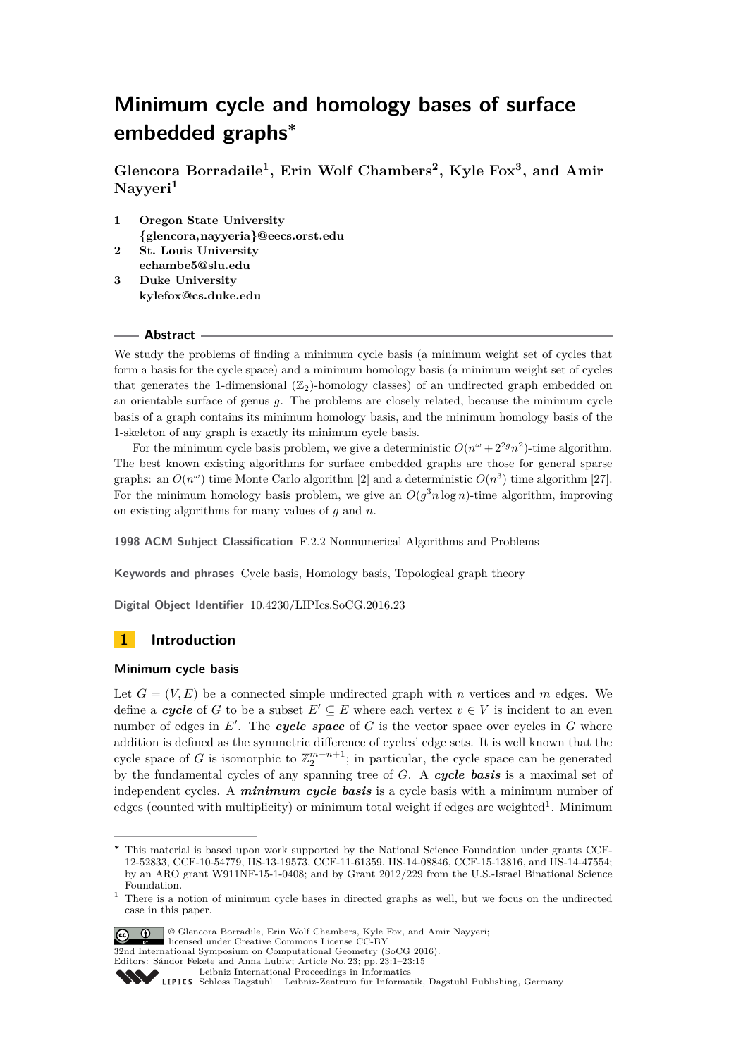# **Minimum cycle and homology bases of surface embedded graphs<sup>∗</sup>**

**Glencora Borradaile<sup>1</sup> , Erin Wolf Chambers<sup>2</sup> , Kyle Fox<sup>3</sup> , and Amir Nayyeri<sup>1</sup>**

- **1 Oregon State University <{glencora,nayyeria}@eecs.orst.edu>**
- **2 St. Louis University <echambe5@slu.edu> 3 Duke University**
- **<kylefox@cs.duke.edu>**

## **Abstract**

We study the problems of finding a minimum cycle basis (a minimum weight set of cycles that form a basis for the cycle space) and a minimum homology basis (a minimum weight set of cycles that generates the 1-dimensional  $(\mathbb{Z}_2)$ -homology classes) of an undirected graph embedded on an orientable surface of genus *g*. The problems are closely related, because the minimum cycle basis of a graph contains its minimum homology basis, and the minimum homology basis of the 1-skeleton of any graph is exactly its minimum cycle basis.

For the minimum cycle basis problem, we give a deterministic  $O(n^{\omega} + 2^{2g}n^2)$ -time algorithm. The best known existing algorithms for surface embedded graphs are those for general sparse graphs: an  $O(n^{\omega})$  time Monte Carlo algorithm [\[2\]](#page-13-0) and a deterministic  $O(n^3)$  time algorithm [\[27\]](#page-14-0). For the minimum homology basis problem, we give an  $O(g^3 n \log n)$ -time algorithm, improving on existing algorithms for many values of *g* and *n*.

**1998 ACM Subject Classification** F.2.2 Nonnumerical Algorithms and Problems

**Keywords and phrases** Cycle basis, Homology basis, Topological graph theory

**Digital Object Identifier** [10.4230/LIPIcs.SoCG.2016.23](http://dx.doi.org/10.4230/LIPIcs.SoCG.2016.23)

## **1 Introduction**

## **Minimum cycle basis**

Let  $G = (V, E)$  be a connected simple undirected graph with *n* vertices and *m* edges. We define a *cycle* of *G* to be a subset  $E' \subseteq E$  where each vertex  $v \in V$  is incident to an even number of edges in  $E'$ . The **cycle space** of  $G$  is the vector space over cycles in  $G$  where addition is defined as the symmetric difference of cycles' edge sets. It is well known that the cycle space of *G* is isomorphic to  $\mathbb{Z}_2^{m-n+1}$ ; in particular, the cycle space can be generated by the fundamental cycles of any spanning tree of *G*. A *cycle basis* is a maximal set of independent cycles. A *minimum cycle basis* is a cycle basis with a minimum number of edges (counted with multiplicity) or minimum total weight if edges are weighted<sup>[1](#page-0-0)</sup>. Minimum

<span id="page-0-0"></span><sup>&</sup>lt;sup>1</sup> There is a notion of minimum cycle bases in directed graphs as well, but we focus on the undirected case in this paper.



© Glencora Borradile, Erin Wolf Chambers, Kyle Fox, and Amir Nayyeri; licensed under Creative Commons License CC-BY

32nd International Symposium on Computational Geometry (SoCG 2016). Editors: Sándor Fekete and Anna Lubiw; Article No. 23; pp. 23:1–23[:15](#page-14-1)

[Leibniz International Proceedings in Informatics](http://www.dagstuhl.de/lipics/)



**<sup>∗</sup>** This material is based upon work supported by the National Science Foundation under grants CCF-12-52833, CCF-10-54779, IIS-13-19573, CCF-11-61359, IIS-14-08846, CCF-15-13816, and IIS-14-47554; by an ARO grant W911NF-15-1-0408; and by Grant 2012/229 from the U.S.-Israel Binational Science Foundation.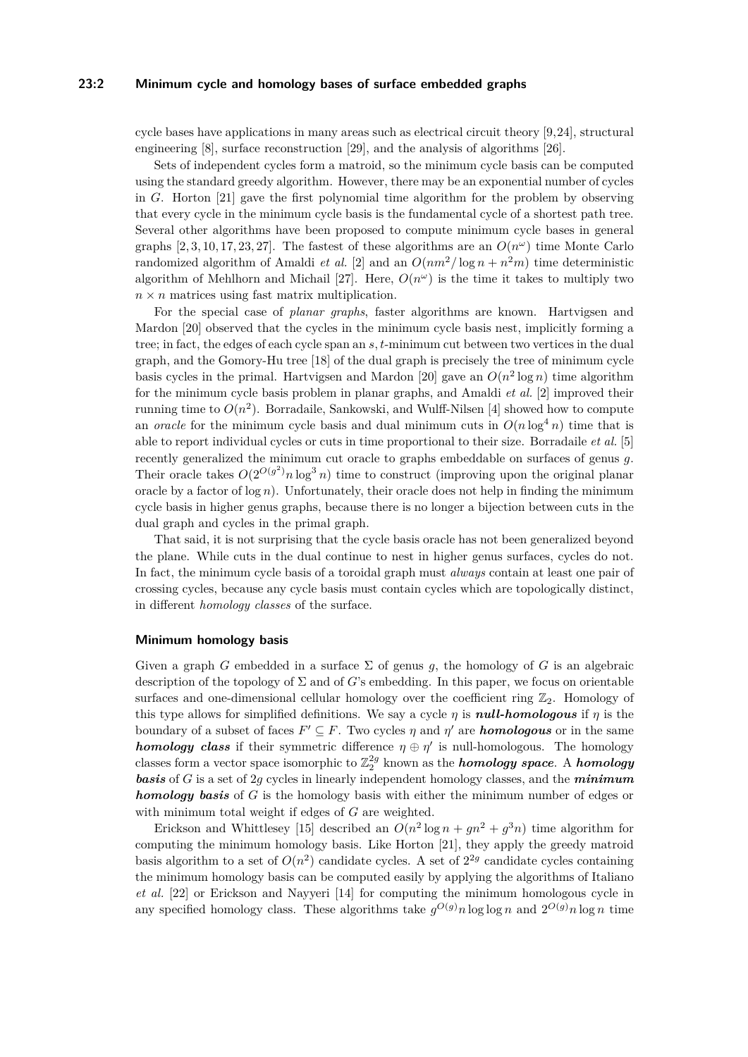## **23:2 Minimum cycle and homology bases of surface embedded graphs**

cycle bases have applications in many areas such as electrical circuit theory [\[9,](#page-14-2)[24\]](#page-14-3), structural engineering [\[8\]](#page-13-1), surface reconstruction [\[29\]](#page-14-4), and the analysis of algorithms [\[26\]](#page-14-5).

Sets of independent cycles form a matroid, so the minimum cycle basis can be computed using the standard greedy algorithm. However, there may be an exponential number of cycles in *G*. Horton [\[21\]](#page-14-6) gave the first polynomial time algorithm for the problem by observing that every cycle in the minimum cycle basis is the fundamental cycle of a shortest path tree. Several other algorithms have been proposed to compute minimum cycle bases in general graphs  $[2, 3, 10, 17, 23, 27]$  $[2, 3, 10, 17, 23, 27]$  $[2, 3, 10, 17, 23, 27]$  $[2, 3, 10, 17, 23, 27]$  $[2, 3, 10, 17, 23, 27]$  $[2, 3, 10, 17, 23, 27]$ . The fastest of these algorithms are an  $O(n^{\omega})$  time Monte Carlo randomized algorithm of Amaldi *et al.* [\[2\]](#page-13-0) and an  $O(nm^2/\log n + n^2m)$  time deterministic algorithm of Mehlhorn and Michail [\[27\]](#page-14-0). Here,  $O(n^{\omega})$  is the time it takes to multiply two  $n \times n$  matrices using fast matrix multiplication.

For the special case of *planar graphs*, faster algorithms are known. Hartvigsen and Mardon [\[20\]](#page-14-10) observed that the cycles in the minimum cycle basis nest, implicitly forming a tree; in fact, the edges of each cycle span an *s, t*-minimum cut between two vertices in the dual graph, and the Gomory-Hu tree [\[18\]](#page-14-11) of the dual graph is precisely the tree of minimum cycle basis cycles in the primal. Hartvigsen and Mardon [\[20\]](#page-14-10) gave an  $O(n^2 \log n)$  time algorithm for the minimum cycle basis problem in planar graphs, and Amaldi *et al.* [\[2\]](#page-13-0) improved their running time to  $O(n^2)$ . Borradaile, Sankowski, and Wulff-Nilsen [\[4\]](#page-13-3) showed how to compute an *oracle* for the minimum cycle basis and dual minimum cuts in  $O(n \log^4 n)$  time that is able to report individual cycles or cuts in time proportional to their size. Borradaile *et al.* [\[5\]](#page-13-4) recently generalized the minimum cut oracle to graphs embeddable on surfaces of genus *g*. Their oracle takes  $O(2^{O(g^2)}n \log^3 n)$  time to construct (improving upon the original planar oracle by a factor of  $log n$ ). Unfortunately, their oracle does not help in finding the minimum cycle basis in higher genus graphs, because there is no longer a bijection between cuts in the dual graph and cycles in the primal graph.

That said, it is not surprising that the cycle basis oracle has not been generalized beyond the plane. While cuts in the dual continue to nest in higher genus surfaces, cycles do not. In fact, the minimum cycle basis of a toroidal graph must *always* contain at least one pair of crossing cycles, because any cycle basis must contain cycles which are topologically distinct, in different *homology classes* of the surface.

#### **Minimum homology basis**

Given a graph *G* embedded in a surface  $\Sigma$  of genus *g*, the homology of *G* is an algebraic description of the topology of  $\Sigma$  and of *G*'s embedding. In this paper, we focus on orientable surfaces and one-dimensional cellular homology over the coefficient ring  $\mathbb{Z}_2$ . Homology of this type allows for simplified definitions. We say a cycle  $\eta$  is *null-homologous* if  $\eta$  is the boundary of a subset of faces  $F' \subseteq F$ . Two cycles  $\eta$  and  $\eta'$  are *homologous* or in the same *homology class* if their symmetric difference  $\eta \oplus \eta'$  is null-homologous. The homology classes form a vector space isomorphic to  $\mathbb{Z}_2^{2g}$  known as the  $homology\ space$ . A  $homology$ *basis* of *G* is a set of 2*g* cycles in linearly independent homology classes, and the *minimum homology basis* of *G* is the homology basis with either the minimum number of edges or with minimum total weight if edges of *G* are weighted.

Erickson and Whittlesey [\[15\]](#page-14-12) described an  $O(n^2 \log n + gn^2 + g^3n)$  time algorithm for computing the minimum homology basis. Like Horton [\[21\]](#page-14-6), they apply the greedy matroid basis algorithm to a set of  $O(n^2)$  candidate cycles. A set of  $2^{2g}$  candidate cycles containing the minimum homology basis can be computed easily by applying the algorithms of Italiano *et al.* [\[22\]](#page-14-13) or Erickson and Nayyeri [\[14\]](#page-14-14) for computing the minimum homologous cycle in any specified homology class. These algorithms take  $g^{O(g)}n \log \log n$  and  $2^{O(g)}n \log n$  time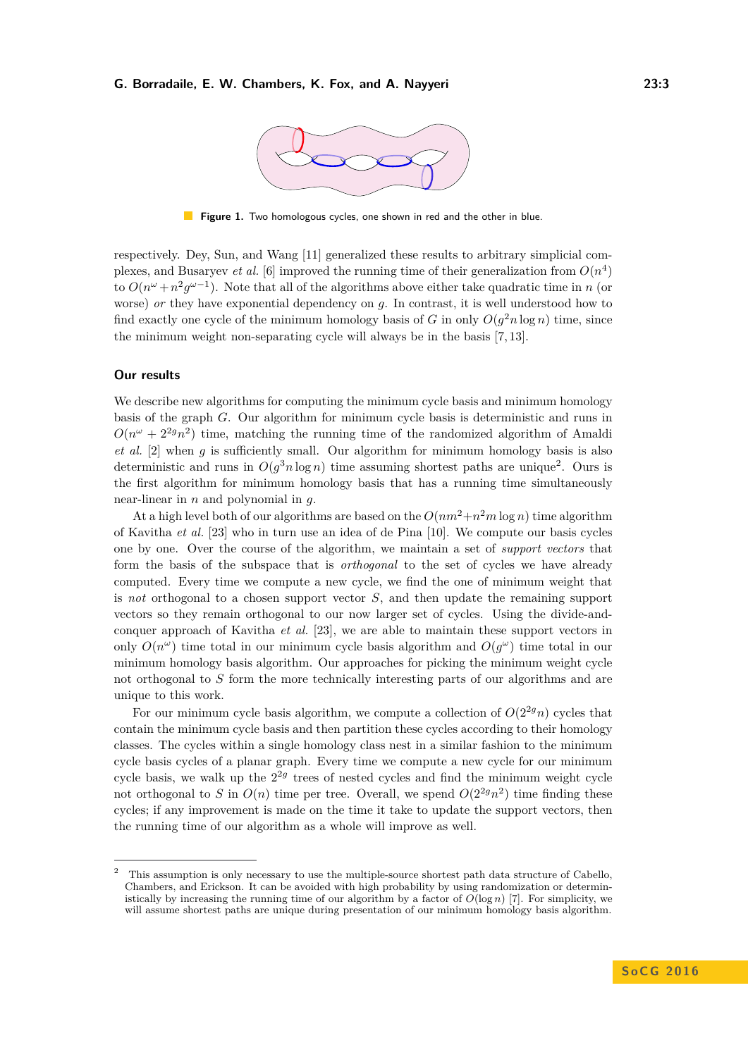

**Figure 1.** Two homologous cycles, one shown in red and the other in blue.

respectively. Dey, Sun, and Wang [\[11\]](#page-14-15) generalized these results to arbitrary simplicial complexes, and Busaryev *et al.* [\[6\]](#page-13-5) improved the running time of their generalization from  $O(n^4)$ to  $O(n^{\omega} + n^2 g^{\omega-1})$ . Note that all of the algorithms above either take quadratic time in *n* (or worse) *or* they have exponential dependency on *g*. In contrast, it is well understood how to find exactly one cycle of the minimum homology basis of *G* in only  $O(g^2 n \log n)$  time, since the minimum weight non-separating cycle will always be in the basis [\[7,](#page-13-6) [13\]](#page-14-16).

#### **Our results**

We describe new algorithms for computing the minimum cycle basis and minimum homology basis of the graph *G*. Our algorithm for minimum cycle basis is deterministic and runs in  $O(n^{\omega} + 2^{2g}n^2)$  time, matching the running time of the randomized algorithm of Amaldi *et al.* [\[2\]](#page-13-0) when *g* is sufficiently small. Our algorithm for minimum homology basis is also deterministic and runs in  $O(g^3 n \log n)$  time assuming shortest paths are unique<sup>[2](#page-2-0)</sup>. Ours is the first algorithm for minimum homology basis that has a running time simultaneously near-linear in *n* and polynomial in *g*.

At a high level both of our algorithms are based on the  $O(nm^2 + n^2m \log n)$  time algorithm of Kavitha *et al.* [\[23\]](#page-14-9) who in turn use an idea of de Pina [\[10\]](#page-14-7). We compute our basis cycles one by one. Over the course of the algorithm, we maintain a set of *support vectors* that form the basis of the subspace that is *orthogonal* to the set of cycles we have already computed. Every time we compute a new cycle, we find the one of minimum weight that is *not* orthogonal to a chosen support vector *S*, and then update the remaining support vectors so they remain orthogonal to our now larger set of cycles. Using the divide-andconquer approach of Kavitha *et al.* [\[23\]](#page-14-9), we are able to maintain these support vectors in only  $O(n^{\omega})$  time total in our minimum cycle basis algorithm and  $O(g^{\omega})$  time total in our minimum homology basis algorithm. Our approaches for picking the minimum weight cycle not orthogonal to *S* form the more technically interesting parts of our algorithms and are unique to this work.

For our minimum cycle basis algorithm, we compute a collection of  $O(2^{2g}n)$  cycles that contain the minimum cycle basis and then partition these cycles according to their homology classes. The cycles within a single homology class nest in a similar fashion to the minimum cycle basis cycles of a planar graph. Every time we compute a new cycle for our minimum cycle basis, we walk up the  $2^{2g}$  trees of nested cycles and find the minimum weight cycle not orthogonal to *S* in  $O(n)$  time per tree. Overall, we spend  $O(2^{2g}n^2)$  time finding these cycles; if any improvement is made on the time it take to update the support vectors, then the running time of our algorithm as a whole will improve as well.

<span id="page-2-0"></span><sup>&</sup>lt;sup>2</sup> This assumption is only necessary to use the multiple-source shortest path data structure of Cabello, Chambers, and Erickson. It can be avoided with high probability by using randomization or deterministically by increasing the running time of our algorithm by a factor of  $O(\log n)$  [\[7\]](#page-13-6). For simplicity, we will assume shortest paths are unique during presentation of our minimum homology basis algorithm.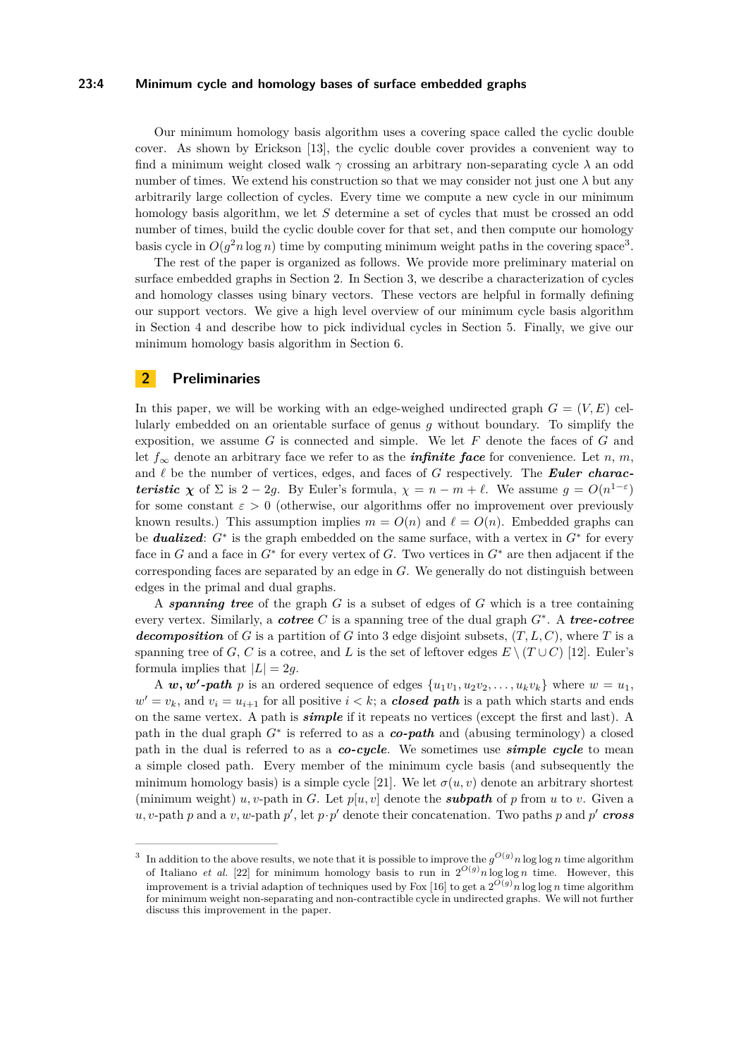### **23:4 Minimum cycle and homology bases of surface embedded graphs**

Our minimum homology basis algorithm uses a covering space called the cyclic double cover. As shown by Erickson [\[13\]](#page-14-16), the cyclic double cover provides a convenient way to find a minimum weight closed walk *γ* crossing an arbitrary non-separating cycle *λ* an odd number of times. We extend his construction so that we may consider not just one  $\lambda$  but any arbitrarily large collection of cycles. Every time we compute a new cycle in our minimum homology basis algorithm, we let *S* determine a set of cycles that must be crossed an odd number of times, build the cyclic double cover for that set, and then compute our homology basis cycle in  $O(g^2 n \log n)$  time by computing minimum weight paths in the covering space<sup>[3](#page-3-0)</sup>.

The rest of the paper is organized as follows. We provide more preliminary material on surface embedded graphs in Section [2.](#page-3-1) In Section [3,](#page-4-0) we describe a characterization of cycles and homology classes using binary vectors. These vectors are helpful in formally defining our support vectors. We give a high level overview of our minimum cycle basis algorithm in Section [4](#page-5-0) and describe how to pick individual cycles in Section [5.](#page-6-0) Finally, we give our minimum homology basis algorithm in Section [6.](#page-10-0)

## <span id="page-3-1"></span>**2 Preliminaries**

In this paper, we will be working with an edge-weighed undirected graph  $G = (V, E)$  cellularly embedded on an orientable surface of genus *g* without boundary. To simplify the exposition, we assume *G* is connected and simple. We let *F* denote the faces of *G* and let  $f_{\infty}$  denote an arbitrary face we refer to as the *infinite face* for convenience. Let *n*, *m*, and  $\ell$  be the number of vertices, edges, and faces of  $G$  respectively. The **Euler charac***teristic*  $\chi$  of  $\Sigma$  is 2 − 2*g*. By Euler's formula,  $\chi = n - m + \ell$ . We assume  $g = O(n^{1-\epsilon})$ for some constant  $\varepsilon > 0$  (otherwise, our algorithms offer no improvement over previously known results.) This assumption implies  $m = O(n)$  and  $\ell = O(n)$ . Embedded graphs can be *dualized*: *G*<sup>∗</sup> is the graph embedded on the same surface, with a vertex in *G*<sup>∗</sup> for every face in *G* and a face in  $G^*$  for every vertex of *G*. Two vertices in  $G^*$  are then adjacent if the corresponding faces are separated by an edge in *G*. We generally do not distinguish between edges in the primal and dual graphs.

A *spanning tree* of the graph *G* is a subset of edges of *G* which is a tree containing every vertex. Similarly, a *cotree C* is a spanning tree of the dual graph *G*<sup>∗</sup> . A *tree-cotree decomposition* of *G* is a partition of *G* into 3 edge disjoint subsets,  $(T, L, C)$ , where *T* is a spanning tree of *G*, *C* is a cotree, and *L* is the set of leftover edges  $E \setminus (T \cup C)$  [\[12\]](#page-14-17). Euler's formula implies that  $|L| = 2q$ .

A  $w, w'$ -path p is an ordered sequence of edges  $\{u_1v_1, u_2v_2, \ldots, u_kv_k\}$  where  $w = u_1$ ,  $w' = v_k$ , and  $v_i = u_{i+1}$  for all positive  $i < k$ ; a *closed path* is a path which starts and ends on the same vertex. A path is *simple* if it repeats no vertices (except the first and last). A path in the dual graph *G*<sup>∗</sup> is referred to as a *co-path* and (abusing terminology) a closed path in the dual is referred to as a *co-cycle*. We sometimes use *simple cycle* to mean a simple closed path. Every member of the minimum cycle basis (and subsequently the minimum homology basis) is a simple cycle [\[21\]](#page-14-6). We let  $\sigma(u, v)$  denote an arbitrary shortest (minimum weight) *u, v*-path in *G*. Let  $p[u, v]$  denote the *subpath* of *p* from *u* to *v*. Given a  $u, v$ -path *p* and a  $v, w$ -path  $p'$ , let  $p \cdot p'$  denote their concatenation. Two paths *p* and  $p'$  *cross* 

<span id="page-3-0"></span><sup>3</sup> In addition to the above results, we note that it is possible to improve the  $g^{O(g)}n \log \log n$  time algorithm of Italiano *et al.* [\[22\]](#page-14-13) for minimum homology basis to run in  $2^{O(g)}n \log \log n$  time. However, this improvement is a trivial adaption of techniques used by Fox [\[16\]](#page-14-18) to get a  $2^{O(g)}n \log \log n$  time algorithm for minimum weight non-separating and non-contractible cycle in undirected graphs. We will not further discuss this improvement in the paper.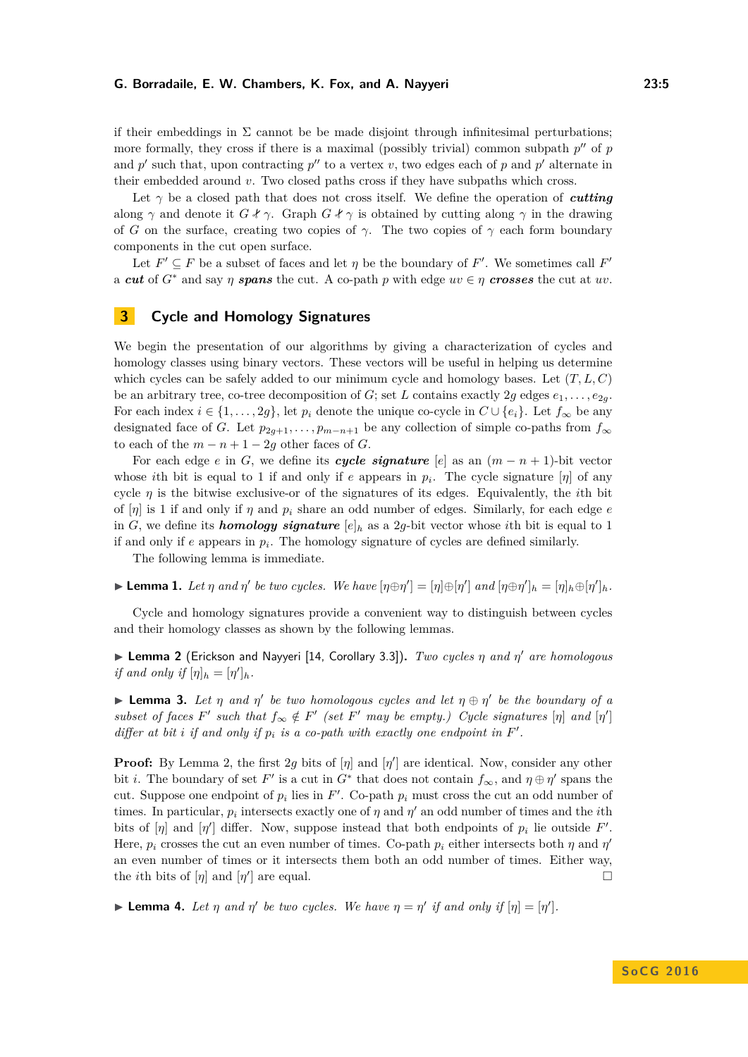if their embeddings in  $\Sigma$  cannot be be made disjoint through infinitesimal perturbations; more formally, they cross if there is a maximal (possibly trivial) common subpath  $p''$  of  $p$ and  $p'$  such that, upon contracting  $p''$  to a vertex *v*, two edges each of  $p$  and  $p'$  alternate in their embedded around *v*. Two closed paths cross if they have subpaths which cross.

Let  $\gamma$  be a closed path that does not cross itself. We define the operation of *cutting* along  $\gamma$  and denote it  $G \nless \gamma$ . Graph  $G \nless \gamma$  is obtained by cutting along  $\gamma$  in the drawing of *G* on the surface, creating two copies of  $\gamma$ . The two copies of  $\gamma$  each form boundary components in the cut open surface.

Let  $F' \subseteq F$  be a subset of faces and let  $\eta$  be the boundary of  $F'$ . We sometimes call  $F'$ a *cut* of  $G^*$  and say  $\eta$  **spans** the cut. A co-path  $p$  with edge  $uv \in \eta$  **crosses** the cut at  $uv$ .

## <span id="page-4-0"></span>**3 Cycle and Homology Signatures**

We begin the presentation of our algorithms by giving a characterization of cycles and homology classes using binary vectors. These vectors will be useful in helping us determine which cycles can be safely added to our minimum cycle and homology bases. Let (*T, L, C*) be an arbitrary tree, co-tree decomposition of *G*; set *L* contains exactly 2*g* edges  $e_1, \ldots, e_{2g}$ . For each index  $i \in \{1, \ldots, 2g\}$ , let  $p_i$  denote the unique co-cycle in  $C \cup \{e_i\}$ . Let  $f_{\infty}$  be any designated face of *G*. Let  $p_{2g+1}, \ldots, p_{m-n+1}$  be any collection of simple co-paths from  $f_{\infty}$ to each of the  $m - n + 1 - 2g$  other faces of *G*.

For each edge *e* in *G*, we define its *cycle signature* [*e*] as an  $(m - n + 1)$ -bit vector whose *i*th bit is equal to 1 if and only if *e* appears in  $p_i$ . The cycle signature  $[\eta]$  of any cycle  $\eta$  is the bitwise exclusive-or of the signatures of its edges. Equivalently, the *i*th bit of  $[\eta]$  is 1 if and only if  $\eta$  and  $p_i$  share an odd number of edges. Similarly, for each edge  $e$ in *G*, we define its *homology signature*  $[e]_h$  as a 2*g*-bit vector whose *i*th bit is equal to 1 if and only if *e* appears in *p<sup>i</sup>* . The homology signature of cycles are defined similarly.

The following lemma is immediate.

**Lemma 1.** Let  $\eta$  and  $\eta'$  be two cycles. We have  $[\eta \oplus \eta'] = [\eta] \oplus [\eta']$  and  $[\eta \oplus \eta']_h = [\eta]_h \oplus [\eta']_h$ .

Cycle and homology signatures provide a convenient way to distinguish between cycles and their homology classes as shown by the following lemmas.

<span id="page-4-1"></span>I **Lemma 2** (Erickson and Nayyeri [\[14,](#page-14-14) Corollary 3.3])**.** *Two cycles η and η* <sup>0</sup> *are homologous if and only if*  $[\eta]_h = [\eta']_h$ *.* 

<span id="page-4-2"></span>**Lemma 3.** Let  $\eta$  and  $\eta'$  be two homologous cycles and let  $\eta \oplus \eta'$  be the boundary of a *subset of faces*  $F'$  *such that*  $f_{\infty} \notin F'$  *(set*  $F'$  *may be empty.) Cycle signatures*  $[\eta]$  *and*  $[\eta']$ *differ at bit i if and only if*  $p_i$  *is a co-path with exactly one endpoint in*  $F'$ .

**Proof:** By Lemma [2,](#page-4-1) the first 2g bits of  $[\eta]$  and  $[\eta']$  are identical. Now, consider any other bit *i*. The boundary of set *F*' is a cut in  $G^*$  that does not contain  $f_{\infty}$ , and  $\eta \oplus \eta'$  spans the cut. Suppose one endpoint of  $p_i$  lies in  $F'$ . Co-path  $p_i$  must cross the cut an odd number of times. In particular,  $p_i$  intersects exactly one of  $\eta$  and  $\eta'$  an odd number of times and the *i*th bits of  $[\eta]$  and  $[\eta']$  differ. Now, suppose instead that both endpoints of  $p_i$  lie outside  $F'$ . Here,  $p_i$  crosses the cut an even number of times. Co-path  $p_i$  either intersects both  $\eta$  and  $\eta'$ an even number of times or it intersects them both an odd number of times. Either way, the *i*th bits of  $[\eta]$  and  $[\eta']$  are equal.

 $\blacktriangleright$  **Lemma 4.** Let  $\eta$  and  $\eta'$  be two cycles. We have  $\eta = \eta'$  if and only if  $[\eta] = [\eta']$ .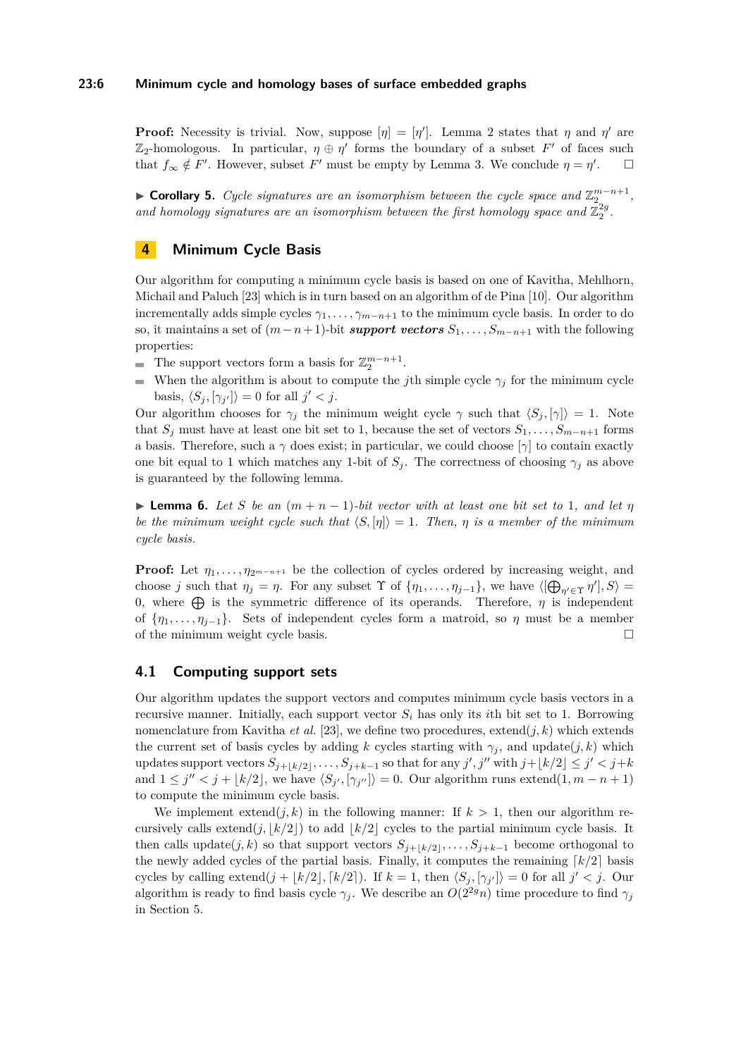## **23:6 Minimum cycle and homology bases of surface embedded graphs**

**Proof:** Necessity is trivial. Now, suppose  $[\eta] = [\eta']$ . Lemma [2](#page-4-1) states that  $\eta$  and  $\eta'$  are  $\mathbb{Z}_2$ -homologous. In particular,  $\eta \oplus \eta'$  forms the boundary of a subset *F'* of faces such that  $f_{\infty} \notin F'$ . However, subset  $F'$  must be empty by Lemma [3.](#page-4-2) We conclude  $\eta = \eta'$  $\Box$ 

► **Corollary 5.** *Cycle signatures are an isomorphism between the cycle space and*  $\mathbb{Z}_2^{m-n+1}$ , and homology signatures are an isomorphism between the first homology space and  $\mathbb{Z}_2^{2g}$ .

## <span id="page-5-0"></span>**4 Minimum Cycle Basis**

Our algorithm for computing a minimum cycle basis is based on one of Kavitha, Mehlhorn, Michail and Paluch [\[23\]](#page-14-9) which is in turn based on an algorithm of de Pina [\[10\]](#page-14-7). Our algorithm incrementally adds simple cycles  $\gamma_1, \ldots, \gamma_{m-n+1}$  to the minimum cycle basis. In order to do so, it maintains a set of  $(m-n+1)$ -bit *support vectors*  $S_1, \ldots, S_{m-n+1}$  with the following properties:

- The support vectors form a basis for  $\mathbb{Z}_2^{m-n+1}$ .
- When the algorithm is about to compute the *j*th simple cycle  $\gamma_j$  for the minimum cycle  $\equiv$ basis,  $\langle S_j, [\gamma_{j'}] \rangle = 0$  for all  $j' < j$ .

Our algorithm chooses for  $\gamma_j$  the minimum weight cycle  $\gamma$  such that  $\langle S_j, [\gamma] \rangle = 1$ . Note that  $S_j$  must have at least one bit set to 1, because the set of vectors  $S_1, \ldots, S_{m-n+1}$  forms a basis. Therefore, such a  $\gamma$  does exist; in particular, we could choose  $[\gamma]$  to contain exactly one bit equal to 1 which matches any 1-bit of  $S_j$ . The correctness of choosing  $\gamma_j$  as above is guaranteed by the following lemma.

<span id="page-5-2"></span>**► Lemma 6.** Let S be an  $(m+n-1)$ -bit vector with at least one bit set to 1, and let  $\eta$ *be the minimum weight cycle such that*  $\langle S, \eta \rangle = 1$ *. Then,*  $\eta$  *is a member of the minimum cycle basis.*

**Proof:** Let  $\eta_1, \ldots, \eta_{2^{m-n+1}}$  be the collection of cycles ordered by increasing weight, and choose *j* such that  $\eta_j = \eta$ . For any subset  $\Upsilon$  of  $\{\eta_1, \ldots, \eta_{j-1}\}$ , we have  $\langle [\bigoplus_{\eta' \in \Upsilon} \eta'], S \rangle =$ 0, where  $\bigoplus$  is the symmetric difference of its operands. Therefore,  $\eta$  is independent of  $\{\eta_1, \ldots, \eta_{j-1}\}.$  Sets of independent cycles form a matroid, so  $\eta$  must be a member of the minimum weight cycle basis.  $\hfill \square$ 

## <span id="page-5-1"></span>**4.1 Computing support sets**

Our algorithm updates the support vectors and computes minimum cycle basis vectors in a recursive manner. Initially, each support vector  $S_i$  has only its *i*th bit set to 1. Borrowing nomenclature from Kavitha *et al.* [\[23\]](#page-14-9), we define two procedures,  $ext{extend}(j, k)$  which extends the current set of basis cycles by adding *k* cycles starting with  $\gamma_j$ , and update $(j, k)$  which updates support vectors  $S_{j+1,k/2}, \ldots, S_{j+k-1}$  so that for any  $j', j''$  with  $j + \lfloor k/2 \rfloor \leq j' < j+k$ and  $1 \leq j'' < j + \lfloor k/2 \rfloor$ , we have  $\langle S_{j'}, \lceil \gamma_{j''} \rceil \rangle = 0$ . Our algorithm runs extend $(1, m - n + 1)$ to compute the minimum cycle basis.

We implement extend( $i, k$ ) in the following manner: If  $k > 1$ , then our algorithm recursively calls extend $(j, k/2)$  to add  $k/2$  cycles to the partial minimum cycle basis. It then calls update $(j, k)$  so that support vectors  $S_{j+k/2}, \ldots, S_{j+k-1}$  become orthogonal to the newly added cycles of the partial basis. Finally, it computes the remaining  $\lceil k/2 \rceil$  basis cycles by calling extend $(j + \lfloor k/2 \rfloor, \lceil k/2 \rceil)$ . If  $k = 1$ , then  $\langle S_j, \lceil \gamma_{j'} \rceil \rangle = 0$  for all  $j' < j$ . Our algorithm is ready to find basis cycle  $\gamma_j$ . We describe an  $O(2^{2g}n)$  time procedure to find  $\gamma_j$ in Section [5.](#page-6-0)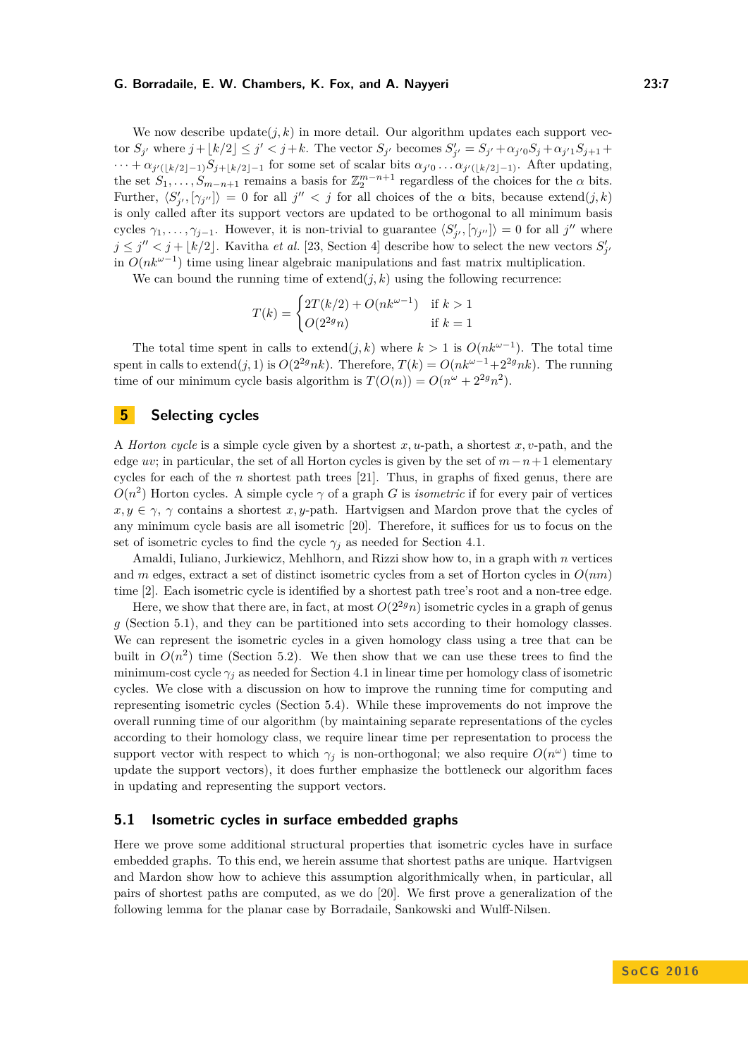We now describe update $(j, k)$  in more detail. Our algorithm updates each support vector  $S_{j'}$  where  $j + \lfloor k/2 \rfloor \le j' < j + k$ . The vector  $S_{j'}$  becomes  $S'_{j'} = S_{j'} + \alpha_{j'0} S_j + \alpha_{j'1} S_{j+1}$  $\cdots + \alpha_{j'(\lfloor k/2 \rfloor - 1)} S_{j + \lfloor k/2 \rfloor - 1}$  for some set of scalar bits  $\alpha_{j'0} \ldots \alpha_{j'(\lfloor k/2 \rfloor - 1)}$ . After updating, the set  $S_1, \ldots, S_{m-n+1}$  remains a basis for  $\mathbb{Z}_2^{m-n+1}$  regardless of the choices for the  $\alpha$  bits. Further,  $\langle S'_{j'}, [\gamma_{j''}] \rangle = 0$  for all  $j'' < j$  for all choices of the  $\alpha$  bits, because extend $(j, k)$ is only called after its support vectors are updated to be orthogonal to all minimum basis cycles  $\gamma_1, \ldots, \gamma_{j-1}$ . However, it is non-trivial to guarantee  $\langle S'_{j'}, [\gamma_{j''}] \rangle = 0$  for all *j''* where  $j \leq j'' < j + \lfloor k/2 \rfloor$ . Kavitha *et al.* [\[23,](#page-14-9) Section 4] describe how to select the new vectors  $S'_{j'}$ in *O*(*nkω*−<sup>1</sup> ) time using linear algebraic manipulations and fast matrix multiplication.

We can bound the running time of  $ext{extend}(j,k)$  using the following recurrence:

$$
T(k) = \begin{cases} 2T(k/2) + O(nk^{\omega - 1}) & \text{if } k > 1\\ O(2^{2g}n) & \text{if } k = 1 \end{cases}
$$

The total time spent in calls to extend $(j, k)$  where  $k > 1$  is  $O(nk^{\omega-1})$ . The total time spent in calls to extend(*j,* 1) is  $O(2^{2g}nk)$ . Therefore,  $T(k) = O(nk^{\omega-1}+2^{2g}nk)$ . The running time of our minimum cycle basis algorithm is  $T(O(n)) = O(n^{\omega} + 2^{2g}n^2)$ .

## <span id="page-6-0"></span>**5 Selecting cycles**

A *Horton cycle* is a simple cycle given by a shortest *x, u*-path, a shortest *x, v*-path, and the edge *uv*; in particular, the set of all Horton cycles is given by the set of *m*−*n*+ 1 elementary cycles for each of the *n* shortest path trees [\[21\]](#page-14-6). Thus, in graphs of fixed genus, there are  $O(n^2)$  Horton cycles. A simple cycle  $\gamma$  of a graph *G* is *isometric* if for every pair of vertices  $x, y \in \gamma$ ,  $\gamma$  contains a shortest *x*, *y*-path. Hartvigsen and Mardon prove that the cycles of any minimum cycle basis are all isometric [\[20\]](#page-14-10). Therefore, it suffices for us to focus on the set of isometric cycles to find the cycle  $\gamma_j$  as needed for Section [4.1.](#page-5-1)

Amaldi, Iuliano, Jurkiewicz, Mehlhorn, and Rizzi show how to, in a graph with *n* vertices and *m* edges, extract a set of distinct isometric cycles from a set of Horton cycles in *O*(*nm*) time [\[2\]](#page-13-0). Each isometric cycle is identified by a shortest path tree's root and a non-tree edge.

Here, we show that there are, in fact, at most  $O(2^{2g}n)$  isometric cycles in a graph of genus *g* (Section [5.1\)](#page-6-1), and they can be partitioned into sets according to their homology classes. We can represent the isometric cycles in a given homology class using a tree that can be built in  $O(n^2)$  time (Section [5.2\)](#page-7-0). We then show that we can use these trees to find the minimum-cost cycle  $\gamma_j$  as needed for Section [4.1](#page-5-1) in linear time per homology class of isometric cycles. We close with a discussion on how to improve the running time for computing and representing isometric cycles (Section [5.4\)](#page-9-0). While these improvements do not improve the overall running time of our algorithm (by maintaining separate representations of the cycles according to their homology class, we require linear time per representation to process the support vector with respect to which  $\gamma_j$  is non-orthogonal; we also require  $O(n^{\omega})$  time to update the support vectors), it does further emphasize the bottleneck our algorithm faces in updating and representing the support vectors.

## <span id="page-6-1"></span>**5.1 Isometric cycles in surface embedded graphs**

Here we prove some additional structural properties that isometric cycles have in surface embedded graphs. To this end, we herein assume that shortest paths are unique. Hartvigsen and Mardon show how to achieve this assumption algorithmically when, in particular, all pairs of shortest paths are computed, as we do [\[20\]](#page-14-10). We first prove a generalization of the following lemma for the planar case by Borradaile, Sankowski and Wulff-Nilsen.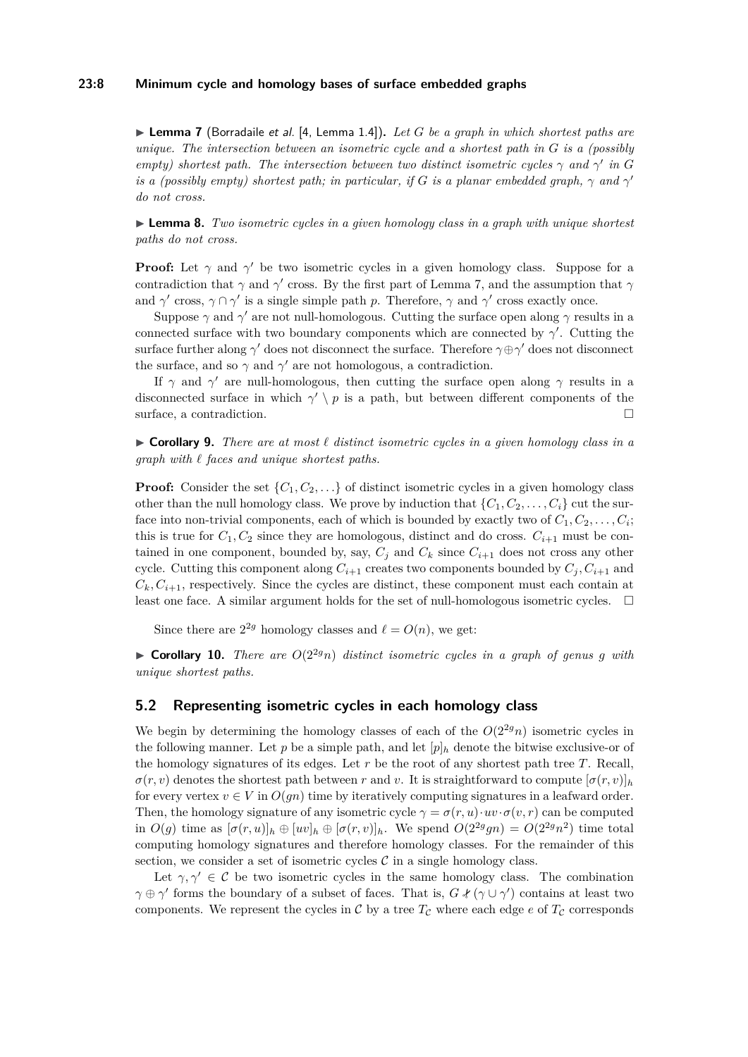## **23:8 Minimum cycle and homology bases of surface embedded graphs**

<span id="page-7-1"></span>▶ **Lemma 7** (Borradaile *et al.* [\[4,](#page-13-3) Lemma 1.4]). *Let G be a graph in which shortest paths are unique. The intersection between an isometric cycle and a shortest path in G is a (possibly empty) shortest path. The intersection between two distinct isometric cycles*  $\gamma$  *and*  $\gamma'$  *in G is a (possibly empty) shortest path; in particular, if*  $G$  *is a planar embedded graph,*  $\gamma$  *and*  $\gamma'$ *do not cross.*

► **Lemma 8.** *Two isometric cycles in a given homology class in a graph with unique shortest paths do not cross.*

**Proof:** Let  $\gamma$  and  $\gamma'$  be two isometric cycles in a given homology class. Suppose for a contradiction that *γ* and *γ*' cross. By the first part of Lemma [7,](#page-7-1) and the assumption that *γ* and  $\gamma'$  cross,  $\gamma \cap \gamma'$  is a single simple path *p*. Therefore,  $\gamma$  and  $\gamma'$  cross exactly once.

Suppose  $\gamma$  and  $\gamma'$  are not null-homologous. Cutting the surface open along  $\gamma$  results in a connected surface with two boundary components which are connected by  $\gamma'$ . Cutting the surface further along *γ*<sup>'</sup> does not disconnect the surface. Therefore *γ*⊕*γ*<sup>'</sup> does not disconnect the surface, and so  $\gamma$  and  $\gamma'$  are not homologous, a contradiction.

If  $\gamma$  and  $\gamma'$  are null-homologous, then cutting the surface open along  $\gamma$  results in a disconnected surface in which  $\gamma' \setminus p$  is a path, but between different components of the surface, a contradiction.

I **Corollary 9.** *There are at most ` distinct isometric cycles in a given homology class in a graph with ` faces and unique shortest paths.*

**Proof:** Consider the set  $\{C_1, C_2, \ldots\}$  of distinct isometric cycles in a given homology class other than the null homology class. We prove by induction that  $\{C_1, C_2, \ldots, C_i\}$  cut the surface into non-trivial components, each of which is bounded by exactly two of  $C_1, C_2, \ldots, C_i$ ; this is true for  $C_1, C_2$  since they are homologous, distinct and do cross.  $C_{i+1}$  must be contained in one component, bounded by, say,  $C_j$  and  $C_k$  since  $C_{i+1}$  does not cross any other cycle. Cutting this component along  $C_{i+1}$  creates two components bounded by  $C_j$ ,  $C_{i+1}$  and  $C_k, C_{i+1}$ , respectively. Since the cycles are distinct, these component must each contain at least one face. A similar argument holds for the set of null-homologous isometric cycles.  $\Box$ 

Since there are  $2^{2g}$  homology classes and  $\ell = O(n)$ , we get:

 $\triangleright$  **Corollary 10.** *There are*  $O(2^{2g}n)$  *distinct isometric cycles in a graph of genus q with unique shortest paths.*

## <span id="page-7-0"></span>**5.2 Representing isometric cycles in each homology class**

We begin by determining the homology classes of each of the  $O(2^{2g}n)$  isometric cycles in the following manner. Let  $p$  be a simple path, and let  $[p]_h$  denote the bitwise exclusive-or of the homology signatures of its edges. Let *r* be the root of any shortest path tree *T*. Recall,  $\sigma(r, v)$  denotes the shortest path between *r* and *v*. It is straightforward to compute  $[\sigma(r, v)]_h$ for every vertex  $v \in V$  in  $O(qn)$  time by iteratively computing signatures in a leafward order. Then, the homology signature of any isometric cycle  $\gamma = \sigma(r, u) \cdot uv \cdot \sigma(v, r)$  can be computed in  $O(g)$  time as  $[\sigma(r, u)]_h \oplus [uv]_h \oplus [\sigma(r, v)]_h$ . We spend  $O(2^{2g}gn) = O(2^{2g}n^2)$  time total computing homology signatures and therefore homology classes. For the remainder of this section, we consider a set of isometric cycles  $\mathcal C$  in a single homology class.

Let  $\gamma, \gamma' \in \mathcal{C}$  be two isometric cycles in the same homology class. The combination  $\gamma \oplus \gamma'$  forms the boundary of a subset of faces. That is,  $G \notin (\gamma \cup \gamma')$  contains at least two components. We represent the cycles in C by a tree  $T_c$  where each edge  $e$  of  $T_c$  corresponds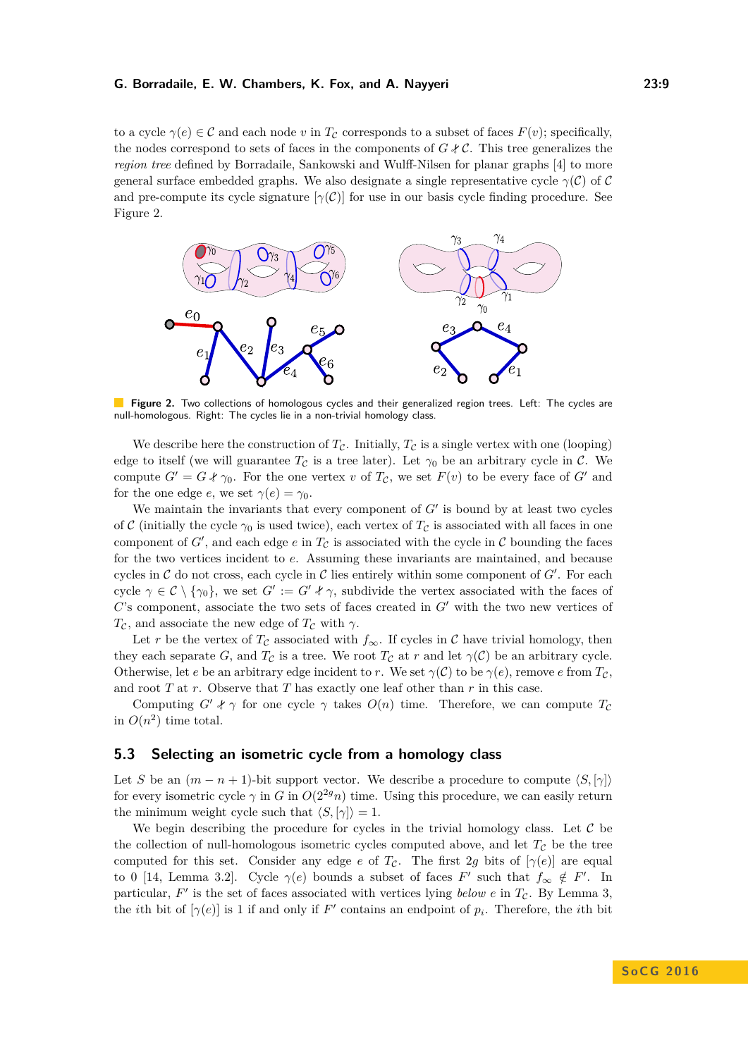to a cycle  $\gamma(e) \in \mathcal{C}$  and each node *v* in  $T_{\mathcal{C}}$  corresponds to a subset of faces  $F(v)$ ; specifically, the nodes correspond to sets of faces in the components of  $G \notin \mathcal{C}$ . This tree generalizes the *region tree* defined by Borradaile, Sankowski and Wulff-Nilsen for planar graphs [\[4\]](#page-13-3) to more general surface embedded graphs. We also designate a single representative cycle  $\gamma(\mathcal{C})$  of C and pre-compute its cycle signature  $[\gamma(\mathcal{C})]$  for use in our basis cycle finding procedure. See Figure [2.](#page-8-0)

<span id="page-8-0"></span>

**Figure 2.** Two collections of homologous cycles and their generalized region trees. Left: The cycles are null-homologous. Right: The cycles lie in a non-trivial homology class.

We describe here the construction of  $T_c$ . Initially,  $T_c$  is a single vertex with one (looping) edge to itself (we will guarantee  $T_c$  is a tree later). Let  $\gamma_0$  be an arbitrary cycle in C. We compute  $G' = G *_{0}$ . For the one vertex *v* of  $T_c$ , we set  $F(v)$  to be every face of  $G'$  and for the one edge *e*, we set  $\gamma(e) = \gamma_0$ .

We maintain the invariants that every component of  $G'$  is bound by at least two cycles of C (initially the cycle  $\gamma_0$  is used twice), each vertex of  $T_c$  is associated with all faces in one component of  $G'$ , and each edge  $e$  in  $T_{\mathcal{C}}$  is associated with the cycle in  $\mathcal C$  bounding the faces for the two vertices incident to *e*. Assuming these invariants are maintained, and because cycles in  $\mathcal C$  do not cross, each cycle in  $\mathcal C$  lies entirely within some component of  $G'$ . For each cycle  $\gamma \in \mathcal{C} \setminus \{\gamma_0\}$ , we set  $G' := G' * \gamma$ , subdivide the vertex associated with the faces of  $C$ 's component, associate the two sets of faces created in  $G'$  with the two new vertices of  $T_c$ , and associate the new edge of  $T_c$  with  $\gamma$ .

Let *r* be the vertex of  $T_c$  associated with  $f_{\infty}$ . If cycles in C have trivial homology, then they each separate *G*, and  $T_c$  is a tree. We root  $T_c$  at *r* and let  $\gamma(\mathcal{C})$  be an arbitrary cycle. Otherwise, let *e* be an arbitrary edge incident to *r*. We set  $\gamma(\mathcal{C})$  to be  $\gamma(e)$ , remove *e* from  $T_{\mathcal{C}}$ , and root *T* at *r*. Observe that *T* has exactly one leaf other than *r* in this case.

Computing  $G' \nless \gamma$  for one cycle  $\gamma$  takes  $O(n)$  time. Therefore, we can compute  $T_c$ in  $O(n^2)$  time total.

## **5.3 Selecting an isometric cycle from a homology class**

Let *S* be an  $(m - n + 1)$ -bit support vector. We describe a procedure to compute  $\langle S, \gamma \rangle$ for every isometric cycle  $\gamma$  in *G* in  $O(2^{2g}n)$  time. Using this procedure, we can easily return the minimum weight cycle such that  $\langle S, [\gamma] \rangle = 1$ .

We begin describing the procedure for cycles in the trivial homology class. Let  $\mathcal C$  be the collection of null-homologous isometric cycles computed above, and let  $T_c$  be the tree computed for this set. Consider any edge *e* of  $T_c$ . The first 2*g* bits of  $[\gamma(e)]$  are equal to 0 [\[14,](#page-14-14) Lemma 3.2]. Cycle  $\gamma(e)$  bounds a subset of faces  $F'$  such that  $f_{\infty} \notin F'$ . In particular,  $F'$  is the set of faces associated with vertices lying *below*  $e$  in  $T_c$ . By Lemma [3,](#page-4-2) the *i*th bit of  $[\gamma(e)]$  is 1 if and only if *F*<sup>'</sup> contains an endpoint of  $p_i$ . Therefore, the *i*th bit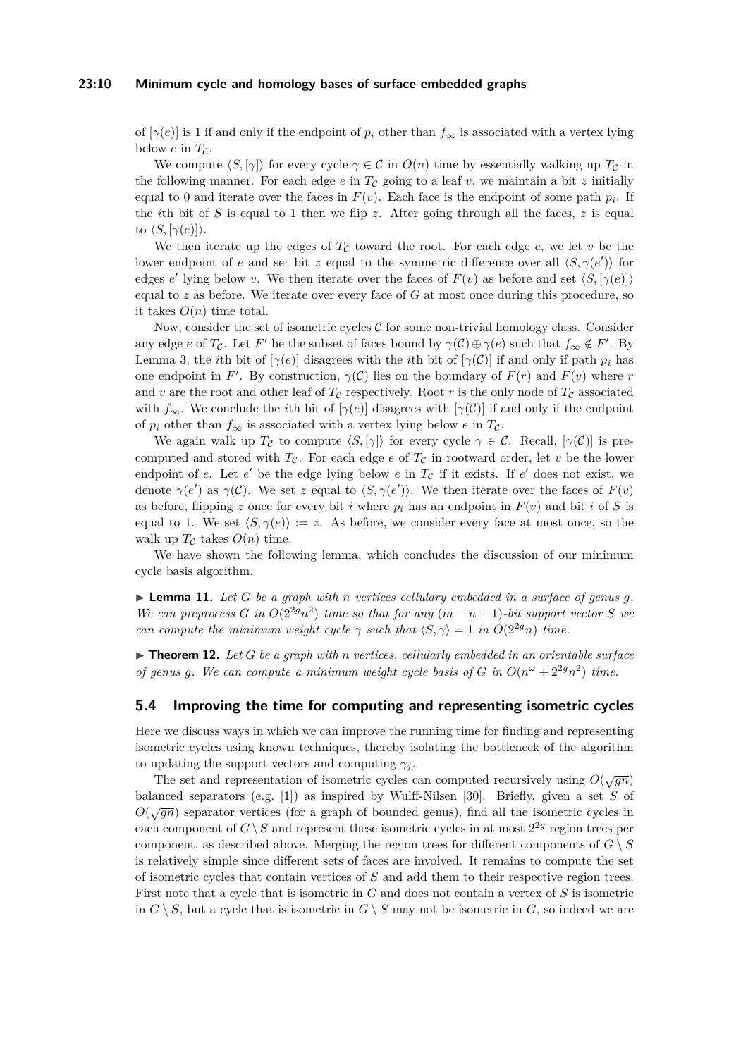#### **23:10 Minimum cycle and homology bases of surface embedded graphs**

of  $[\gamma(e)]$  is 1 if and only if the endpoint of  $p_i$  other than  $f_{\infty}$  is associated with a vertex lying below  $e$  in  $T_c$ .

We compute  $\langle S, [\gamma] \rangle$  for every cycle  $\gamma \in C$  in  $O(n)$  time by essentially walking up  $T_C$  in the following manner. For each edge  $e$  in  $T_c$  going to a leaf  $v$ , we maintain a bit  $z$  initially equal to 0 and iterate over the faces in  $F(v)$ . Each face is the endpoint of some path  $p_i$ . If the *i*th bit of *S* is equal to 1 then we flip *z*. After going through all the faces, *z* is equal to  $\langle S, [\gamma(e)] \rangle$ .

We then iterate up the edges of  $T_c$  toward the root. For each edge  $e$ , we let  $v$  be the lower endpoint of *e* and set bit *z* equal to the symmetric difference over all  $\langle S, \gamma(e') \rangle$  for edges *e'* lying below *v*. We then iterate over the faces of  $F(v)$  as before and set  $\langle S, [\gamma(e)] \rangle$ equal to  $z$  as before. We iterate over every face of  $G$  at most once during this procedure, so it takes  $O(n)$  time total.

Now, consider the set of isometric cycles  $\mathcal C$  for some non-trivial homology class. Consider any edge *e* of *T<sub>C</sub>*. Let *F'* be the subset of faces bound by  $\gamma(\mathcal{C}) \oplus \gamma(e)$  such that  $f_{\infty} \notin F'$ . By Lemma [3,](#page-4-2) the *i*th bit of  $[\gamma(e)]$  disagrees with the *i*th bit of  $[\gamma(\mathcal{C})]$  if and only if path  $p_i$  has one endpoint in *F'*. By construction,  $\gamma(\mathcal{C})$  lies on the boundary of  $F(r)$  and  $F(v)$  where *r* and v are the root and other leaf of  $T_c$  respectively. Root r is the only node of  $T_c$  associated with  $f_{\infty}$ . We conclude the *i*th bit of  $[\gamma(e)]$  disagrees with  $[\gamma(\mathcal{C})]$  if and only if the endpoint of  $p_i$  other than  $f_{\infty}$  is associated with a vertex lying below *e* in  $T_c$ .

We again walk up  $T_{\mathcal{C}}$  to compute  $\langle S, [\gamma] \rangle$  for every cycle  $\gamma \in \mathcal{C}$ . Recall,  $[\gamma(\mathcal{C})]$  is precomputed and stored with  $T_c$ . For each edge *e* of  $T_c$  in rootward order, let *v* be the lower endpoint of  $e$ . Let  $e'$  be the edge lying below  $e$  in  $T_c$  if it exists. If  $e'$  does not exist, we denote  $\gamma(e')$  as  $\gamma(\mathcal{C})$ . We set *z* equal to  $\langle S, \gamma(e') \rangle$ . We then iterate over the faces of  $F(v)$ as before, flipping *z* once for every bit *i* where  $p_i$  has an endpoint in  $F(v)$  and bit *i* of *S* is equal to 1. We set  $\langle S, \gamma(e) \rangle := z$ . As before, we consider every face at most once, so the walk up  $T_c$  takes  $O(n)$  time.

We have shown the following lemma, which concludes the discussion of our minimum cycle basis algorithm.

 $\blacktriangleright$  **Lemma 11.** Let G be a graph with *n* vertices cellulary embedded in a surface of genus g. *We can preprocess G in*  $O(2^{2g}n^2)$  *time so that for any*  $(m - n + 1)$ *-bit support vector S we can compute the minimum weight cycle*  $\gamma$  *such that*  $\langle S, \gamma \rangle = 1$  *in*  $O(2^{2g}n)$  *time.* 

 $\triangleright$  **Theorem 12.** Let *G* be a graph with *n* vertices, cellularly embedded in an orientable surface *of genus g.* We can compute a minimum weight cycle basis of G in  $O(n^{\omega} + 2^{2g}n^2)$  time.

## <span id="page-9-0"></span>**5.4 Improving the time for computing and representing isometric cycles**

Here we discuss ways in which we can improve the running time for finding and representing isometric cycles using known techniques, thereby isolating the bottleneck of the algorithm to updating the support vectors and computing  $\gamma_i$ .

The set and representation of isometric cycles can computed recursively using  $O(\sqrt{gn})$ balanced separators (e.g. [\[1\]](#page-13-7)) as inspired by Wulff-Nilsen [\[30\]](#page-14-19). Briefly, given a set *S* of  $O(\sqrt{gn})$  separator vertices (for a graph of bounded genus), find all the isometric cycles in each component of  $G \setminus S$  and represent these isometric cycles in at most  $2^{2g}$  region trees per component, as described above. Merging the region trees for different components of  $G \setminus S$ is relatively simple since different sets of faces are involved. It remains to compute the set of isometric cycles that contain vertices of *S* and add them to their respective region trees. First note that a cycle that is isometric in *G* and does not contain a vertex of *S* is isometric in  $G \setminus S$ , but a cycle that is isometric in  $G \setminus S$  may not be isometric in  $G$ , so indeed we are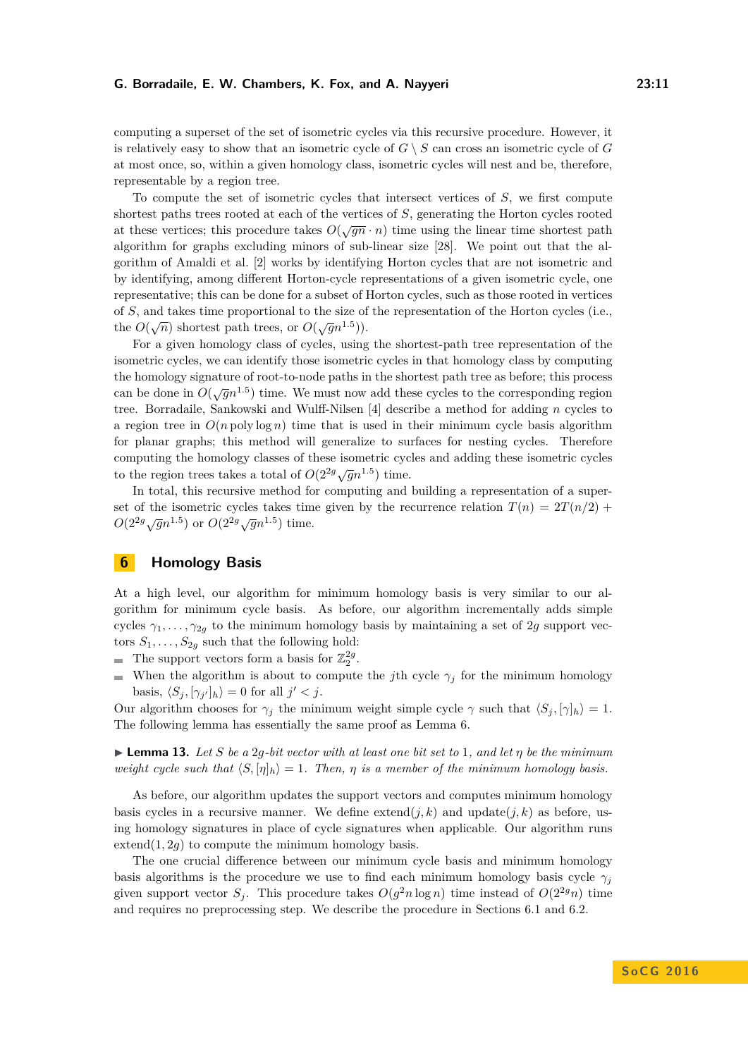computing a superset of the set of isometric cycles via this recursive procedure. However, it is relatively easy to show that an isometric cycle of  $G \setminus S$  can cross an isometric cycle of  $G$ at most once, so, within a given homology class, isometric cycles will nest and be, therefore, representable by a region tree.

To compute the set of isometric cycles that intersect vertices of *S*, we first compute shortest paths trees rooted at each of the vertices of *S*, generating the Horton cycles rooted at these vertices; this procedure takes  $O(\sqrt{gn} \cdot n)$  time using the linear time shortest path at these vertices; this procedure takes  $O(\sqrt{gn} \cdot n)$ algorithm for graphs excluding minors of sub-linear size [\[28\]](#page-14-20). We point out that the algorithm of Amaldi et al. [\[2\]](#page-13-0) works by identifying Horton cycles that are not isometric and by identifying, among different Horton-cycle representations of a given isometric cycle, one representative; this can be done for a subset of Horton cycles, such as those rooted in vertices of *S*, and takes time proportional to the size of the representation of the Horton cycles (i.e., the  $O(\sqrt{n})$  shortest path trees, or  $O(\sqrt{g}n^{1.5}))$ .

For a given homology class of cycles, using the shortest-path tree representation of the isometric cycles, we can identify those isometric cycles in that homology class by computing the homology signature of root-to-node paths in the shortest path tree as before; this process can be done in  $O(\sqrt{g}n^{1.5})$  time. We must now add these cycles to the corresponding region tree. Borradaile, Sankowski and Wulff-Nilsen [\[4\]](#page-13-3) describe a method for adding *n* cycles to a region tree in  $O(n \text{ poly} \log n)$  time that is used in their minimum cycle basis algorithm for planar graphs; this method will generalize to surfaces for nesting cycles. Therefore computing the homology classes of these isometric cycles and adding these isometric cycles to the region trees takes a total of  $O(2^{2g}\sqrt{g}n^{1.5})$  time.

In total, this recursive method for computing and building a representation of a superset of the isometric cycles takes time given by the recurrence relation  $T(n) = 2T(n/2) +$  $O(2^{2g}\sqrt{g}n^{1.5})$  or  $O(2^{2g}\sqrt{g}n^{1.5})$  time.

## <span id="page-10-0"></span>**6 Homology Basis**

At a high level, our algorithm for minimum homology basis is very similar to our algorithm for minimum cycle basis. As before, our algorithm incrementally adds simple cycles  $\gamma_1, \ldots, \gamma_{2g}$  to the minimum homology basis by maintaining a set of 2*g* support vectors  $S_1, \ldots, S_{2g}$  such that the following hold:

- The support vectors form a basis for  $\mathbb{Z}_2^{2g}$ .
- When the algorithm is about to compute the *j*th cycle  $\gamma_j$  for the minimum homology basis,  $\langle S_j, [\gamma_{j'}]_h \rangle = 0$  for all  $j' < j$ .

Our algorithm chooses for  $\gamma_i$  the minimum weight simple cycle  $\gamma$  such that  $\langle S_i, [\gamma]_h \rangle = 1$ . The following lemma has essentially the same proof as Lemma [6.](#page-5-2)

I **Lemma 13.** *Let S be a* 2*g-bit vector with at least one bit set to* 1*, and let η be the minimum weight cycle such that*  $\langle S, [\eta]_h \rangle = 1$ . Then,  $\eta$  *is a member of the minimum homology basis.* 

As before, our algorithm updates the support vectors and computes minimum homology basis cycles in a recursive manner. We define  $ext{extend}(j,k)$  and  $update(j,k)$  as before, using homology signatures in place of cycle signatures when applicable. Our algorithm runs extend $(1, 2g)$  to compute the minimum homology basis.

The one crucial difference between our minimum cycle basis and minimum homology basis algorithms is the procedure we use to find each minimum homology basis cycle  $\gamma_i$ given support vector  $S_j$ . This procedure takes  $O(g^2 n \log n)$  time instead of  $O(2^{2g} n)$  time and requires no preprocessing step. We describe the procedure in Sections [6.1](#page-11-0) and [6.2.](#page-12-0)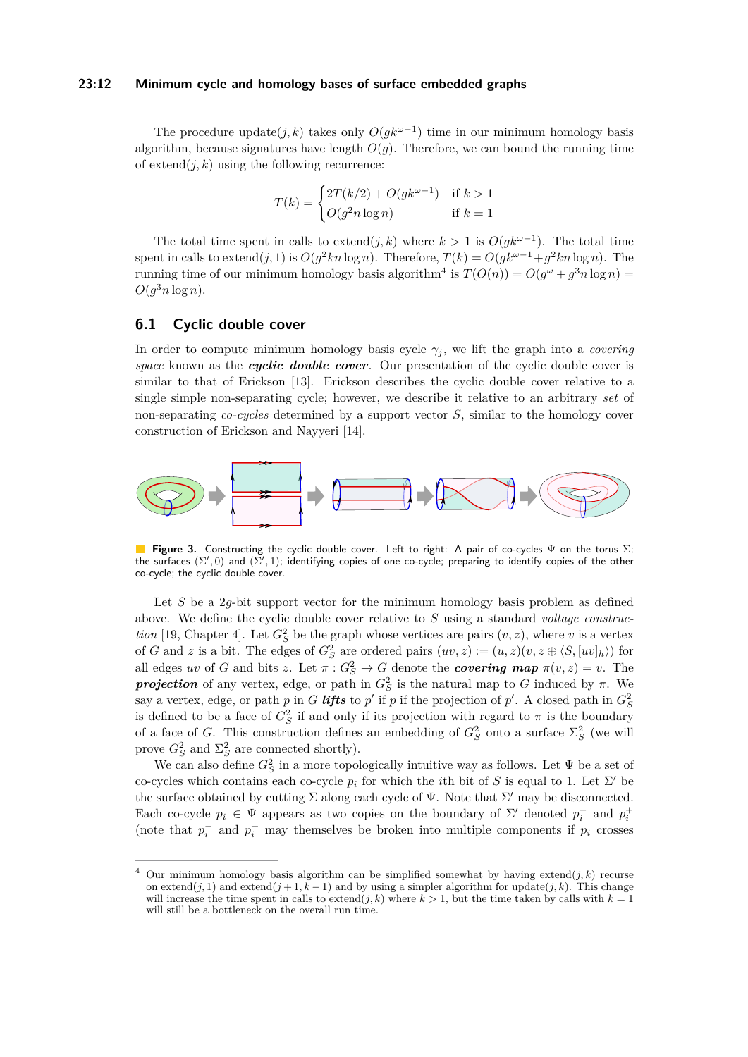#### **23:12 Minimum cycle and homology bases of surface embedded graphs**

The procedure update( $j, k$ ) takes only  $O(gk^{\omega-1})$  time in our minimum homology basis algorithm, because signatures have length  $O(q)$ . Therefore, we can bound the running time of  $ext{ext{end}}(i,k)$  using the following recurrence:

$$
T(k) = \begin{cases} 2T(k/2) + O(gk^{\omega - 1}) & \text{if } k > 1\\ O(g^2 n \log n) & \text{if } k = 1 \end{cases}
$$

The total time spent in calls to extend $(j, k)$  where  $k > 1$  is  $O(gk^{\omega-1})$ . The total time spent in calls to extend $(j, 1)$  is  $O(g^2 kn \log n)$ . Therefore,  $T(k) = O(gk^{\omega-1} + g^2 kn \log n)$ . The running time of our minimum homology basis algorithm<sup>[4](#page-11-1)</sup> is  $T(O(n)) = O(g^{\omega} + g^3 n \log n) =$  $O(g^3 n \log n)$ .

## <span id="page-11-0"></span>**6.1 Cyclic double cover**

In order to compute minimum homology basis cycle  $\gamma_j$ , we lift the graph into a *covering space* known as the *cyclic double cover*. Our presentation of the cyclic double cover is similar to that of Erickson [\[13\]](#page-14-16). Erickson describes the cyclic double cover relative to a single simple non-separating cycle; however, we describe it relative to an arbitrary *set* of non-separating *co-cycles* determined by a support vector *S*, similar to the homology cover construction of Erickson and Nayyeri [\[14\]](#page-14-14).

<span id="page-11-2"></span>

■ Figure 3. Constructing the cyclic double cover. Left to right: A pair of co-cycles  $\Psi$  on the torus  $\Sigma$ ;<br>the surfaces ( $\Sigma', 0$ ) and ( $\Sigma', 1$ ); identifying copies of one co-cycle; preparing to identify copies of the o co-cycle; the cyclic double cover.

Let *S* be a 2*q*-bit support vector for the minimum homology basis problem as defined above. We define the cyclic double cover relative to *S* using a standard *voltage construction* [\[19,](#page-14-21) Chapter 4]. Let  $G_S^2$  be the graph whose vertices are pairs  $(v, z)$ , where *v* is a vertex of *G* and *z* is a bit. The edges of  $G_S^2$  are ordered pairs  $(uv, z) := (u, z)(v, z \oplus \langle S, [uv]_h \rangle)$  for all edges *uv* of *G* and bits *z*. Let  $\pi$  :  $G_S^2 \to G$  denote the *covering map*  $\pi(v, z) = v$ . The *projection* of any vertex, edge, or path in  $G_S^2$  is the natural map to *G* induced by *π*. We say a vertex, edge, or path *p* in *G lifts* to *p'* if *p* if the projection of *p'*. A closed path in  $G_S^2$ is defined to be a face of  $G_S^2$  if and only if its projection with regard to  $\pi$  is the boundary of a face of *G*. This construction defines an embedding of  $G_S^2$  onto a surface  $\Sigma_S^2$  (we will prove  $G_S^2$  and  $\Sigma_S^2$  are connected shortly).

We can also define  $G_S^2$  in a more topologically intuitive way as follows. Let  $\Psi$  be a set of co-cycles which contains each co-cycle  $p_i$  for which the *i*th bit of *S* is equal to 1. Let  $\Sigma'$  be the surface obtained by cutting  $\Sigma$  along each cycle of  $\Psi$ . Note that  $\Sigma'$  may be disconnected. Each co-cycle  $p_i \in \Psi$  appears as two copies on the boundary of  $\Sigma'$  denoted  $p_i^-$  and  $p_i^+$ (note that  $p_i^-$  and  $p_i^+$  may themselves be broken into multiple components if  $p_i$  crosses

<span id="page-11-1"></span>Our minimum homology basis algorithm can be simplified somewhat by having extend $(i, k)$  recurse on extend( $j$ , 1) and extend( $j + 1, k - 1$ ) and by using a simpler algorithm for update( $j, k$ ). This change will increase the time spent in calls to extend $(j, k)$  where  $k > 1$ , but the time taken by calls with  $k = 1$ will still be a bottleneck on the overall run time.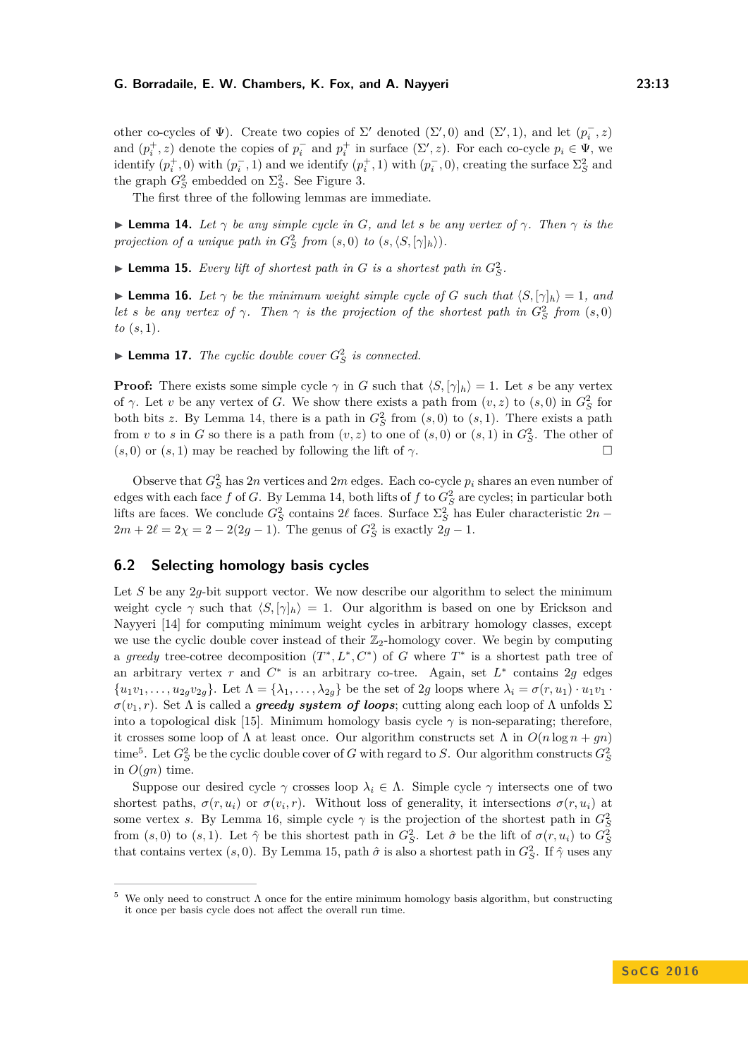other co-cycles of  $\Psi$ ). Create two copies of  $\Sigma'$  denoted  $(\Sigma', 0)$  and  $(\Sigma', 1)$ , and let  $(p_i^-, z)$ and  $(p_i^+, z)$  denote the copies of  $p_i^-$  and  $p_i^+$  in surface  $(\Sigma', z)$ . For each co-cycle  $p_i \in \Psi$ , we identify  $(p_i^+, 0)$  with  $(p_i^-, 1)$  and we identify  $(p_i^+, 1)$  with  $(p_i^-, 0)$ , creating the surface  $\Sigma_S^2$  and the graph  $G_S^2$  embedded on  $\Sigma_S^2$ . See Figure [3.](#page-11-2)

The first three of the following lemmas are immediate.

<span id="page-12-1"></span>**If Lemma 14.** Let  $\gamma$  be any simple cycle in G, and let s be any vertex of  $\gamma$ . Then  $\gamma$  is the *projection of a unique path in*  $G_S^2$  *from*  $(s, 0)$  *to*  $(s, \langle S, [\gamma]_h \rangle)$ *.* 

<span id="page-12-4"></span> $\blacktriangleright$  **Lemma 15.** Every lift of shortest path in G is a shortest path in  $G_S^2$ .

<span id="page-12-3"></span>**I Lemma 16.** Let  $\gamma$  be the minimum weight simple cycle of G such that  $\langle S, [\gamma]_h \rangle = 1$ , and *let s be any vertex of*  $\gamma$ *. Then*  $\gamma$  *is the projection of the shortest path in*  $G_S^2$  *from*  $(s, 0)$ *to* (*s,* 1)*.*

**Lemma 17.** *The cyclic double cover*  $G_S^2$  *is connected.* 

**Proof:** There exists some simple cycle  $\gamma$  in *G* such that  $\langle S, [\gamma]_h \rangle = 1$ . Let *s* be any vertex of  $\gamma$ . Let *v* be any vertex of *G*. We show there exists a path from  $(v, z)$  to  $(s, 0)$  in  $G_S^2$  for both bits *z*. By Lemma [14,](#page-12-1) there is a path in  $G_S^2$  from  $(s, 0)$  to  $(s, 1)$ . There exists a path from *v* to *s* in *G* so there is a path from  $(v, z)$  to one of  $(s, 0)$  or  $(s, 1)$  in  $G_S^2$ . The other of  $(s, 0)$  or  $(s, 1)$  may be reached by following the lift of  $\gamma$ .

Observe that  $G_S^2$  has 2*n* vertices and 2*m* edges. Each co-cycle  $p_i$  shares an even number of edges with each face  $f$  of  $G$ . By Lemma [14,](#page-12-1) both lifts of  $f$  to  $G_S^2$  are cycles; in particular both lifts are faces. We conclude  $G_S^2$  contains 2 $\ell$  faces. Surface  $\Sigma_S^2$  has Euler characteristic 2*n* −  $2m + 2\ell = 2\chi = 2 - 2(2g - 1)$ . The genus of  $G_S^2$  is exactly  $2g - 1$ .

## <span id="page-12-0"></span>**6.2 Selecting homology basis cycles**

Let *S* be any 2*q*-bit support vector. We now describe our algorithm to select the minimum weight cycle  $\gamma$  such that  $\langle S, [\gamma]_h \rangle = 1$ . Our algorithm is based on one by Erickson and Nayyeri [\[14\]](#page-14-14) for computing minimum weight cycles in arbitrary homology classes, except we use the cyclic double cover instead of their  $\mathbb{Z}_2$ -homology cover. We begin by computing a greedy tree-cotree decomposition  $(T^*, L^*, C^*)$  of *G* where  $T^*$  is a shortest path tree of an arbitrary vertex *r* and  $C^*$  is an arbitrary co-tree. Again, set  $L^*$  contains 2g edges  $\{u_1v_1,\ldots,u_{2g}v_{2g}\}$ . Let  $\Lambda = \{\lambda_1,\ldots,\lambda_{2g}\}$  be the set of 2*g* loops where  $\lambda_i = \sigma(r,u_1)\cdot u_1v_1$ .  $\sigma(v_1,r)$ . Set  $\Lambda$  is called a *greedy system of loops*; cutting along each loop of  $\Lambda$  unfolds  $\Sigma$ into a topological disk [\[15\]](#page-14-12). Minimum homology basis cycle  $\gamma$  is non-separating; therefore, it crosses some loop of  $\Lambda$  at least once. Our algorithm constructs set  $\Lambda$  in  $O(n \log n + gn)$ time<sup>[5](#page-12-2)</sup>. Let  $G_S^2$  be the cyclic double cover of *G* with regard to *S*. Our algorithm constructs  $G_S^2$ in  $O(gn)$  time.

Suppose our desired cycle  $\gamma$  crosses loop  $\lambda_i \in \Lambda$ . Simple cycle  $\gamma$  intersects one of two shortest paths,  $\sigma(r, u_i)$  or  $\sigma(v_i, r)$ . Without loss of generality, it intersections  $\sigma(r, u_i)$  at some vertex *s*. By Lemma [16,](#page-12-3) simple cycle  $\gamma$  is the projection of the shortest path in  $G_S^2$ from  $(s, 0)$  to  $(s, 1)$ . Let  $\hat{\gamma}$  be this shortest path in  $G_S^2$ . Let  $\hat{\sigma}$  be the lift of  $\sigma(r, u_i)$  to  $G_S^2$ that contains vertex (*s*, 0). By Lemma [15,](#page-12-4) path  $\hat{\sigma}$  is also a shortest path in  $G_S^2$ . If  $\hat{\gamma}$  uses any

<span id="page-12-2"></span><sup>&</sup>lt;sup>5</sup> We only need to construct  $\Lambda$  once for the entire minimum homology basis algorithm, but constructing it once per basis cycle does not affect the overall run time.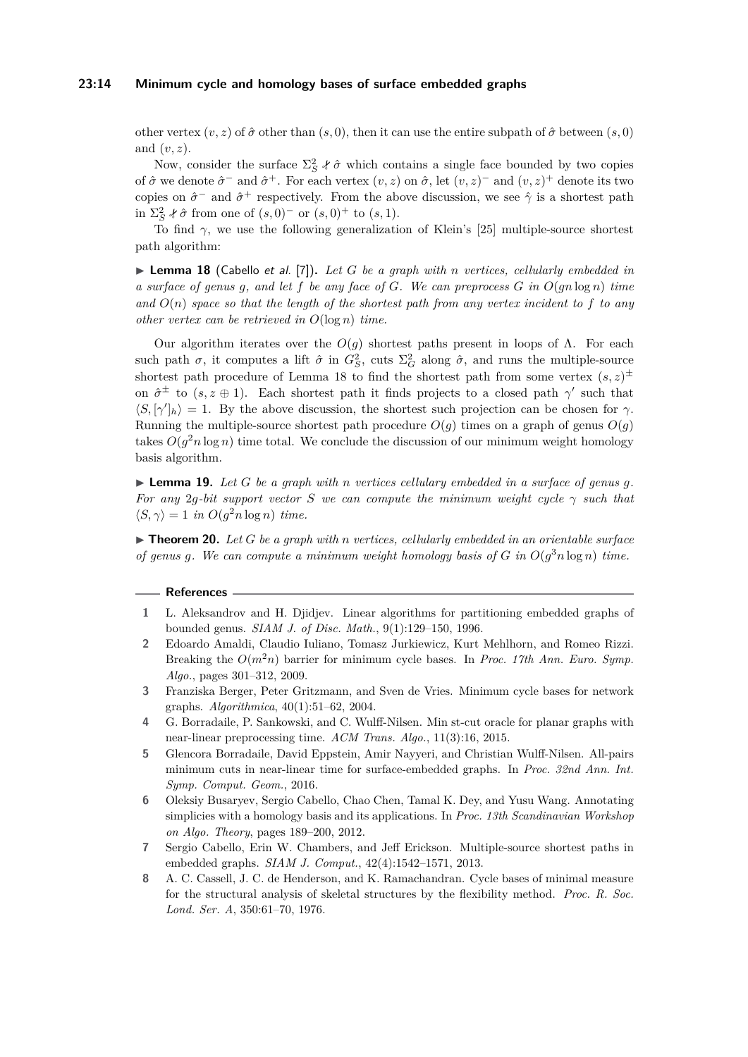## **23:14 Minimum cycle and homology bases of surface embedded graphs**

other vertex  $(v, z)$  of  $\hat{\sigma}$  other than  $(s, 0)$ , then it can use the entire subpath of  $\hat{\sigma}$  between  $(s, 0)$ and (*v, z*).

Now, consider the surface  $\Sigma_S^2$   $\ell \hat{\sigma}$  which contains a single face bounded by two copies of  $\hat{\sigma}$  we denote  $\hat{\sigma}^-$  and  $\hat{\sigma}^+$ . For each vertex  $(v, z)$  on  $\hat{\sigma}$ , let  $(v, z)^-$  and  $(v, z)^+$  denote its two copies on  $\hat{\sigma}^-$  and  $\hat{\sigma}^+$  respectively. From the above discussion, we see  $\hat{\gamma}$  is a shortest path in  $\Sigma_S^2$  *i*  $\hat{\sigma}$  from one of  $(s, 0)^-$  or  $(s, 0)^+$  to  $(s, 1)$ .

To find *γ*, we use the following generalization of Klein's [\[25\]](#page-14-22) multiple-source shortest path algorithm:

<span id="page-13-8"></span> $\blacktriangleright$  **Lemma 18** (Cabello et al. [\[7\]](#page-13-6)). Let G be a graph with *n* vertices, cellularly embedded in *a surface of genus g, and let f be any face of G. We can preprocess G in O*(*gn* log *n*) *time* and  $O(n)$  *space so that the length of the shortest path from any vertex incident to*  $f$  *to any other vertex can be retrieved in O*(log *n*) *time.*

Our algorithm iterates over the  $O(g)$  shortest paths present in loops of Λ. For each such path  $\sigma$ , it computes a lift  $\hat{\sigma}$  in  $G_S^2$ , cuts  $\Sigma_G^2$  along  $\hat{\sigma}$ , and runs the multiple-source shortest path procedure of Lemma [18](#page-13-8) to find the shortest path from some vertex  $(s, z)$ <sup> $\pm$ </sup> on  $\hat{\sigma}^{\pm}$  to  $(s, z \oplus 1)$ . Each shortest path it finds projects to a closed path  $\gamma'$  such that  $\langle S, [\gamma']_h \rangle = 1$ . By the above discussion, the shortest such projection can be chosen for  $\gamma$ . Running the multiple-source shortest path procedure  $O(q)$  times on a graph of genus  $O(q)$ takes  $O(g^2 n \log n)$  time total. We conclude the discussion of our minimum weight homology basis algorithm.

 $\blacktriangleright$  **Lemma 19.** Let G be a graph with *n* vertices cellulary embedded in a surface of genus q. *For any* 2*g*-bit support vector *S* we can compute the minimum weight cycle  $\gamma$  such that  $\langle S, \gamma \rangle = 1$  *in*  $O(g^2 n \log n)$  *time.* 

 $\triangleright$  **Theorem 20.** Let *G* be a graph with *n* vertices, cellularly embedded in an orientable surface *of genus g.* We can compute a minimum weight homology basis of  $G$  in  $O(g^3 n \log n)$  time.

#### **References**

- <span id="page-13-7"></span>**1** L. Aleksandrov and H. Djidjev. Linear algorithms for partitioning embedded graphs of bounded genus. *SIAM J. of Disc. Math.*, 9(1):129–150, 1996.
- <span id="page-13-0"></span>**2** Edoardo Amaldi, Claudio Iuliano, Tomasz Jurkiewicz, Kurt Mehlhorn, and Romeo Rizzi. Breaking the  $O(m^2n)$  barrier for minimum cycle bases. In *Proc. 17th Ann. Euro. Symp. Algo.*, pages 301–312, 2009.
- <span id="page-13-2"></span>**3** Franziska Berger, Peter Gritzmann, and Sven de Vries. Minimum cycle bases for network graphs. *Algorithmica*, 40(1):51–62, 2004.
- <span id="page-13-3"></span>**4** G. Borradaile, P. Sankowski, and C. Wulff-Nilsen. Min st-cut oracle for planar graphs with near-linear preprocessing time. *ACM Trans. Algo.*, 11(3):16, 2015.
- <span id="page-13-4"></span>**5** Glencora Borradaile, David Eppstein, Amir Nayyeri, and Christian Wulff-Nilsen. All-pairs minimum cuts in near-linear time for surface-embedded graphs. In *Proc. 32nd Ann. Int. Symp. Comput. Geom.*, 2016.
- <span id="page-13-5"></span>**6** Oleksiy Busaryev, Sergio Cabello, Chao Chen, Tamal K. Dey, and Yusu Wang. Annotating simplicies with a homology basis and its applications. In *Proc. 13th Scandinavian Workshop on Algo. Theory*, pages 189–200, 2012.
- <span id="page-13-6"></span>**7** Sergio Cabello, Erin W. Chambers, and Jeff Erickson. Multiple-source shortest paths in embedded graphs. *SIAM J. Comput.*, 42(4):1542–1571, 2013.
- <span id="page-13-1"></span>**8** A. C. Cassell, J. C. de Henderson, and K. Ramachandran. Cycle bases of minimal measure for the structural analysis of skeletal structures by the flexibility method. *Proc. R. Soc. Lond. Ser. A*, 350:61–70, 1976.